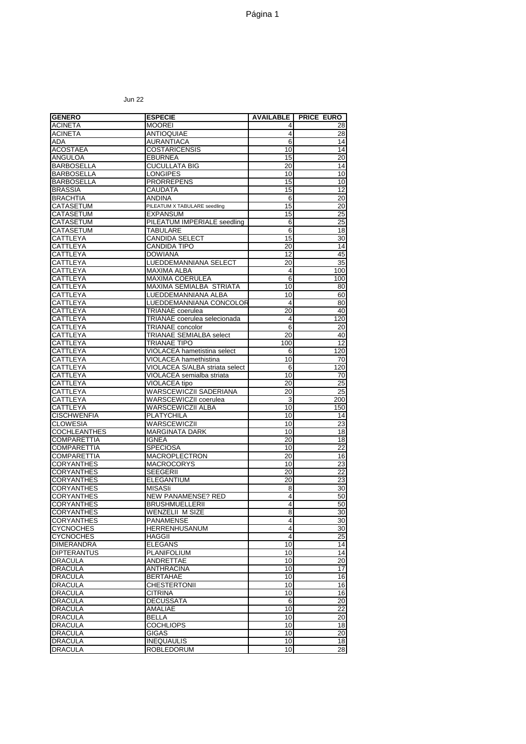Jun 22

| <b>GENERO</b>                          | <b>ESPECIE</b>                                     | <b>AVAILABLE</b> | <b>PRICE EURO</b> |
|----------------------------------------|----------------------------------------------------|------------------|-------------------|
| <b>ACINETA</b>                         | <b>MOOREI</b>                                      | 4                | 28                |
| <b>ACINETA</b>                         | ANTIOQUIAE                                         | 4                | 28                |
| ADA                                    | <b>AURANTIACA</b>                                  | 6                | 14                |
| <b>ACOSTAEA</b>                        | <b>COSTARICENSIS</b>                               | 10               | 14                |
| ANGULOA                                | <b>EBURNEA</b>                                     | 15               | $\overline{20}$   |
| <b>BARBOSELLA</b>                      | <b>CUCULLATA BIG</b>                               | 20               | 14                |
| <b>BARBOSELLA</b>                      | <b>LONGIPES</b>                                    | 10               | 10                |
| <b>BARBOSELLA</b>                      | <b>PRORREPENS</b>                                  | 15               | 10                |
| <b>BRASSIA</b>                         | CAUDATA                                            | 15               | 12                |
| <b>BRACHTIA</b>                        | ANDINA                                             | 6                | 20                |
| <b>CATASETUM</b>                       | PILEATUM X TABULARE seedling                       | 15               | 20                |
| CATASETUM                              | EXPANSUM                                           | 15               | 25                |
| CATASETUM                              | PILEATUM IMPERIALE seedling                        | 6                | 25                |
| CATASETUM                              | TABULARE                                           | 6                | $\overline{18}$   |
| <b>CATTLEYA</b>                        | CANDIDA SELECT                                     | 15               | 30                |
| CATTLEYA                               | <b>CANDIDA TIPO</b>                                | 20               | 14                |
| CATTLEYA                               | <b>DOWIANA</b>                                     | 12               | 45                |
| CATTLEYA                               | LUEDDEMANNIANA SELECT                              | 20               | 35                |
| CATTLEYA                               | MAXIMA ALBA                                        | 4                | 100               |
| CATTLEYA<br>CATTLEYA                   | MAXIMA COERULEA<br>MAXIMA SEMIALBA STRIATA         | 6<br>10          | 100<br>80         |
| CATTLEYA                               | LUEDDEMANNIANA ALBA                                | 10               | 60                |
| CATTLEYA                               | LUEDDEMANNIANA CONCOLOR                            | 4                | 80                |
| CATTLEYA                               | <b>TRIANAE</b> coerulea                            | 20               | 40                |
| CATTLEYA                               | TRIANAE coerulea selecionada                       | 4                | 120               |
| CATTLEYA                               | TRIANAE concolor                                   | 6                | 20                |
| CATTLEYA                               | TRIANAE SEMIALBA select                            | 20               | 40                |
| CATTLEYA                               | TRIANAE TIPO                                       | 100              | 12                |
| CATTLEYA                               | VIOLACEA hametistina select                        | 6                | 120               |
| CATTLEYA                               | VIOLACEA hamethistina                              | 10               | 70                |
| CATTLEYA                               | VIOLACEA S/ALBA striata select                     | 6                | 120               |
| CATTLEYA                               | VIOLACEA semialba striata                          | 10               | 70                |
| CATTLEYA                               | VIOLACEA tipo                                      | 20               | 25                |
| CATTLEYA                               | WARSCEWICZII SADERIANA                             | 20               | 25                |
| CATTLEYA                               | WARSCEWICZII coerulea                              | 3                | 200               |
| CATTLEYA                               | WARSCEWICZII ALBA                                  | 10               | 150               |
| <b>CISCHWENFIA</b>                     | PLATYCHILA                                         | 10               | 14                |
| <b>CLOWESIA</b>                        | WARSCEWICZII                                       | 10               | $\overline{23}$   |
| <b>COCHLEANTHES</b>                    | <b>MARGINATA DARK</b>                              | 10               | 18                |
| <b>COMPARETTIA</b>                     | <b>IGNEA</b>                                       | 20               | 18                |
| <b>COMPARETTIA</b>                     | <b>SPECIOSA</b>                                    | 10               | 22                |
| <b>COMPARETTIA</b>                     | MACROPLECTRON                                      | 20               | 16                |
| <b>CORYANTHES</b>                      | MACROCORYS                                         | 10               | 23                |
| <b>CORYANTHES</b>                      | SEEGERII                                           | 20               | 22                |
| <b>CORYANTHES</b>                      | <b>ELEGANTIUM</b>                                  | 20               | 23                |
| <b>CORYANTHES</b><br><b>CORYANTHES</b> | MISASIi                                            | 8<br>4           | 30<br>50          |
| <b>CORYANTHES</b>                      | <b>NEW PANAMENSE? RED</b><br><b>BRUSHMUELLERII</b> | 4                | 50                |
| <b>CORYANTHES</b>                      | WENZELII M SIZE                                    | 8                | 30                |
| <b>CORYANTHES</b>                      | <b>PANAMENSE</b>                                   | 4                | 30                |
| <b>CYCNOCHES</b>                       | <b>HERRENHUSANUM</b>                               | 4                | 30                |
| <b>CYCNOCHES</b>                       | HAGGII                                             | 4                | $\overline{25}$   |
| <b>DIMERANDRA</b>                      | <b>ELEGANS</b>                                     | 10               | 14                |
| <b>DIPTERANTUS</b>                     | PLANIFOLIUM                                        | 10               | 14                |
| <b>DRACULA</b>                         | ANDRETTAE                                          | 10               | 20                |
| <b>DRACULA</b>                         | <b>ANTHRACINA</b>                                  | 10               | 17                |
| <b>DRACULA</b>                         | <b>BERTAHAE</b>                                    | 10               | 16                |
| <b>DRACULA</b>                         | <b>CHESTERTONII</b>                                | 10               | 16                |
| <b>DRACULA</b>                         | CITRINA                                            | 10               | 16                |
| <b>DRACULA</b>                         | <b>DECUSSATA</b>                                   | 6                | $\overline{20}$   |
| <b>DRACULA</b>                         | AMALIAE                                            | 10               | 22                |
| <b>DRACULA</b>                         | BELLA                                              | 10               | $\overline{20}$   |
| <b>DRACULA</b>                         | <b>COCHLIOPS</b>                                   | 10               | 18                |
| <b>DRACULA</b>                         | <b>GIGAS</b>                                       | 10               | 20                |
| <b>DRACULA</b>                         | <b>INEQUAULIS</b>                                  | 10               | $\frac{1}{8}$     |
| <b>DRACULA</b>                         | ROBLEDORUM                                         | 10               | 28                |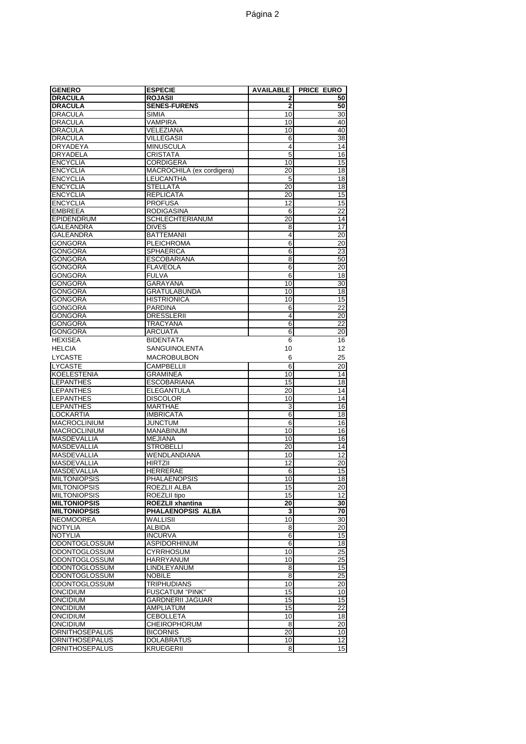| <b>GENERO</b>                     | <b>ESPECIE</b>                         | <b>AVAILABLE</b> | <b>PRICE EURO</b> |
|-----------------------------------|----------------------------------------|------------------|-------------------|
| <b>DRACULA</b>                    | <b>ROJASII</b>                         | $\overline{2}$   | 50                |
| <b>DRACULA</b>                    | <b>SENES-FURENS</b>                    | $\mathbf 2$      | 50                |
| DRACULA                           | SIMIA                                  | 10               | 30                |
| <b>DRACULA</b>                    | <b>VAMPIRA</b>                         | 10               | 40                |
| <b>DRACULA</b>                    | VELEZIANA                              | 10               | 40                |
| <b>DRACULA</b>                    | <b>VILLEGASII</b>                      | 6                | $\overline{38}$   |
| <b>DRYADEYA</b>                   | <b>MINUSCULA</b>                       | 4                | $\overline{14}$   |
| DRYADELA                          | <b>CRISTATA</b>                        | 5<br>10          | 16<br>15          |
| ENCYCLIA<br><b>ENCYCLIA</b>       | CORDIGERA<br>MACROCHILA (ex cordigera) | 20               | 18                |
| <b>ENCYCLIA</b>                   | LEUCANTHA                              | 5                | 18                |
| <b>ENCYCLIA</b>                   | <b>STELLATA</b>                        | 20               | 18                |
| <b>ENCYCLIA</b>                   | <b>REPLICATA</b>                       | 20               | 15                |
| <b>ENCYCLIA</b>                   | <b>PROFUSA</b>                         | 12               | 15                |
| <b>EMBREEA</b>                    | <b>RODIGASINA</b>                      | 6                | $\overline{22}$   |
| <b>EPIDENDRUM</b>                 | <b>SCHLECHTERIANUM</b>                 | 20               | 14                |
| GALEANDRA                         | <b>DIVES</b>                           | 8                | 17                |
| GALEANDRA                         | <b>BATTEMANII</b>                      | 4                | 20                |
| GONGORA                           | <b>PLEICHROMA</b>                      | 6                | 20                |
| GONGORA                           | <b>SPHAERICA</b>                       | 6                | 23                |
| GONGORA                           | <b>ESCOBARIANA</b>                     | 8                | 50                |
| <b>GONGORA</b>                    | <b>FLAVEOLA</b>                        | $\overline{6}$   | $\overline{20}$   |
| <b>GONGORA</b>                    | <b>FULVA</b>                           | 6                | 18                |
| GONGORA                           | GARAYANA                               | 10               | 30                |
| <b>GONGORA</b>                    | <b>GRATULABUNDA</b>                    | 10               | 18                |
| GONGORA                           | <b>HISTRIONICA</b>                     | 10               | 15                |
| GONGORA                           | <b>PARDINA</b>                         | 6                | $\overline{22}$   |
| <b>GONGORA</b>                    | <b>DRESSLERII</b>                      | 4                | $\overline{20}$   |
| <b>GONGORA</b>                    | <b>TRACYANA</b>                        | $\overline{6}$   | $\overline{22}$   |
| <b>GONGORA</b>                    | <b>ARCUATA</b>                         | 6                | 20                |
| <b>HEXISEA</b>                    | <b>BIDENTATA</b>                       | 6                | 16                |
| <b>HELCIA</b>                     | <b>SANGUINOLENTA</b>                   | 10               | 12                |
| <b>LYCASTE</b>                    | <b>MACROBULBON</b>                     | 6                | 25                |
| <b>LYCASTE</b>                    | <b>CAMPBELLII</b>                      | $\overline{6}$   | 20                |
| <b>KOELESTENIA</b>                | GRAMINEA                               | 10               | 14                |
| <b>LEPANTHES</b>                  | <b>ESCOBARIANA</b>                     | 15               | 18                |
| LEPANTHES                         | ELEGANTULA                             | 20               | 14                |
| <b>LEPANTHES</b>                  | <b>DISCOLOR</b>                        | 10               | 14                |
| <b>LEPANTHES</b>                  | <b>MARTHAE</b>                         | 3                | 16                |
| LOCKARTIA<br>MACROCLINIUM         | <b>IMBRICATA</b><br>JUNCTUM            | 6<br>6           | 18<br>16          |
| <b>MACROCLINIUM</b>               | <b>MANABINUM</b>                       | 10               | 16                |
| MASDEVALLIA                       | <b>MEJIANA</b>                         | 10               | 16                |
| <b>MASDEVALLIA</b>                | <b>STROBELLI</b>                       | 20               | $\overline{14}$   |
| MASDEVALLIA                       | WENDLANDIANA                           | 10               | 12                |
| MASDEVALLIA                       | <b>HIRTZII</b>                         | 12               | 20                |
| MASDEVALLIA                       | <b>HERRERAE</b>                        | 6                | 15                |
| <b>MILTONIOPSIS</b>               | <b>PHALAENOPSIS</b>                    | 10               | 18                |
| <b>MILTONIOPSIS</b>               | ROEZLII ALBA                           | 15               | 20                |
| <b>MILTONIOPSIS</b>               | ROEZLII tipo                           | 15               | 12                |
| <b>MILTONIOPSIS</b>               | <b>ROEZLII xhantina</b>                | 20               | 30                |
| <b>MILTONIOPSIS</b>               | PHALAENOPSIS ALBA                      | 3                | 70                |
| <b>NEOMOOREA</b>                  | WALLISII                               | 10               | 30                |
| <b>NOTYLIA</b>                    | <b>ALBIDA</b>                          | 8                | $\overline{20}$   |
| <b>NOTYLIA</b>                    | <b>INCURVA</b>                         | 6                | 15                |
| ODONTOGLOSSUM                     | ASPIDORHINUM                           | 6                | $\overline{18}$   |
| ODONTOGLOSSUM                     | <b>CYRRHOSUM</b>                       | 10               | 25                |
| ODONTOGLOSSUM                     | HARRYANUM                              | 10               | 25                |
| ODONTOGLOSSUM                     | <b>LINDLEYANUM</b>                     | 8                | 15                |
| ODONTOGLOSSUM                     | <b>NOBILE</b>                          | 8                | 25                |
| ODONTOGLOSSUM                     | TRIPHUDIANS                            | 10               | $\overline{20}$   |
| ONCIDIUM                          | <b>FUSCATUM "PINK"</b>                 | 15               | 10                |
| ONCIDIUM                          | GARDNERII JAGUAR                       | 15               | 15                |
| ONCIDIUM                          | AMPLIATUM                              | 15               | $\overline{22}$   |
| <b>ONCIDIUM</b>                   | <b>CEBOLLETA</b>                       | 10               | $\overline{18}$   |
| <b>ONCIDIUM</b><br>ORNITHOSEPALUS | <b>CHEIROPHORUM</b><br><b>BICORNIS</b> | 8<br>20          | 20<br>10          |
| ORNITHOSEPALUS                    | <b>DOLABRATUS</b>                      | 10               | 12                |
| ORNITHOSEPALUS                    | <b>KRUEGERII</b>                       | 8                | 15                |
|                                   |                                        |                  |                   |